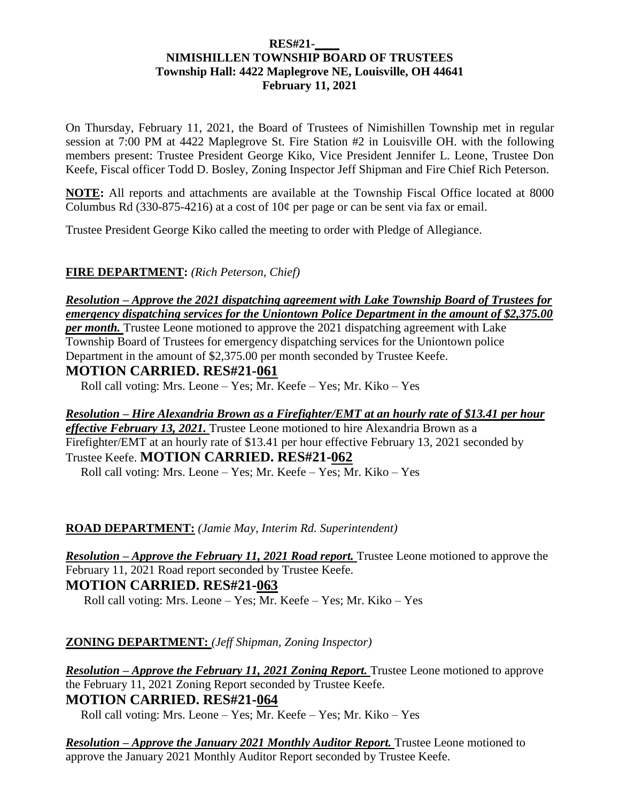#### **RES#21-\_\_\_\_ NIMISHILLEN TOWNSHIP BOARD OF TRUSTEES Township Hall: 4422 Maplegrove NE, Louisville, OH 44641 February 11, 2021**

On Thursday, February 11, 2021, the Board of Trustees of Nimishillen Township met in regular session at 7:00 PM at 4422 Maplegrove St. Fire Station #2 in Louisville OH. with the following members present: Trustee President George Kiko, Vice President Jennifer L. Leone, Trustee Don Keefe, Fiscal officer Todd D. Bosley, Zoning Inspector Jeff Shipman and Fire Chief Rich Peterson.

**NOTE:** All reports and attachments are available at the Township Fiscal Office located at 8000 Columbus Rd (330-875-4216) at a cost of  $10¢$  per page or can be sent via fax or email.

Trustee President George Kiko called the meeting to order with Pledge of Allegiance.

## **FIRE DEPARTMENT:** *(Rich Peterson, Chief)*

*Resolution – Approve the 2021 dispatching agreement with Lake Township Board of Trustees for emergency dispatching services for the Uniontown Police Department in the amount of \$2,375.00 per month.* Trustee Leone motioned to approve the 2021 dispatching agreement with Lake Township Board of Trustees for emergency dispatching services for the Uniontown police Department in the amount of \$2,375.00 per month seconded by Trustee Keefe.

## **MOTION CARRIED. RES#21-061**

Roll call voting: Mrs. Leone – Yes; Mr. Keefe – Yes; Mr. Kiko – Yes

*Resolution – Hire Alexandria Brown as a Firefighter/EMT at an hourly rate of \$13.41 per hour effective February 13, 2021.* Trustee Leone motioned to hire Alexandria Brown as a Firefighter/EMT at an hourly rate of \$13.41 per hour effective February 13, 2021 seconded by Trustee Keefe. **MOTION CARRIED. RES#21-062**

Roll call voting: Mrs. Leone – Yes; Mr. Keefe – Yes; Mr. Kiko – Yes

#### **ROAD DEPARTMENT:** *(Jamie May, Interim Rd. Superintendent)*

*Resolution – Approve the February 11, 2021 Road report.* Trustee Leone motioned to approve the February 11, 2021 Road report seconded by Trustee Keefe. **MOTION CARRIED. RES#21-063**

Roll call voting: Mrs. Leone – Yes; Mr. Keefe – Yes; Mr. Kiko – Yes

## **ZONING DEPARTMENT:** *(Jeff Shipman, Zoning Inspector)*

*Resolution – Approve the February 11, 2021 Zoning Report.* Trustee Leone motioned to approve the February 11, 2021 Zoning Report seconded by Trustee Keefe.

## **MOTION CARRIED. RES#21-064**

Roll call voting: Mrs. Leone – Yes; Mr. Keefe – Yes; Mr. Kiko – Yes

*Resolution – Approve the January 2021 Monthly Auditor Report.* Trustee Leone motioned to approve the January 2021 Monthly Auditor Report seconded by Trustee Keefe.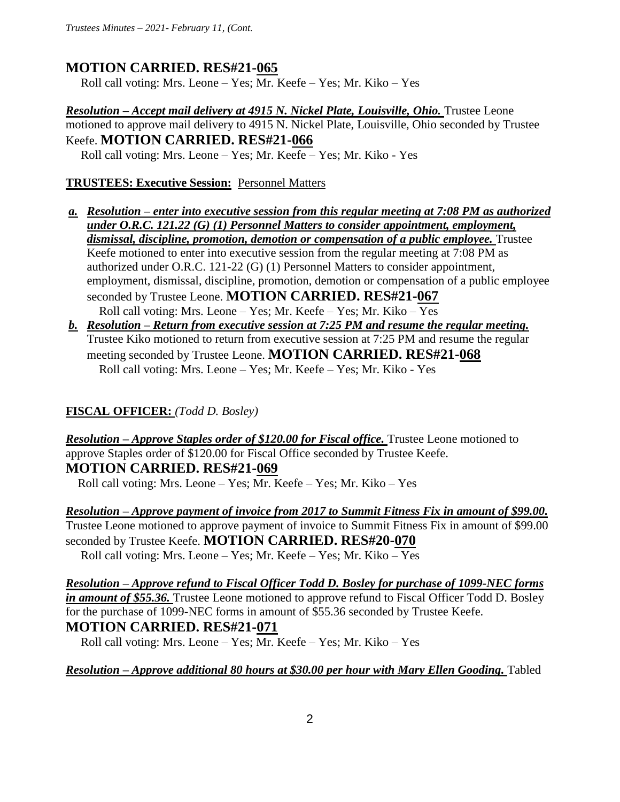# **MOTION CARRIED. RES#21-065**

Roll call voting: Mrs. Leone – Yes; Mr. Keefe – Yes; Mr. Kiko – Yes

*Resolution – Accept mail delivery at 4915 N. Nickel Plate, Louisville, Ohio. Trustee Leone* motioned to approve mail delivery to 4915 N. Nickel Plate, Louisville, Ohio seconded by Trustee Keefe. **MOTION CARRIED. RES#21-066**  Roll call voting: Mrs. Leone – Yes; Mr. Keefe – Yes; Mr. Kiko - Yes

### **TRUSTEES: Executive Session:** Personnel Matters

- *a. Resolution – enter into executive session from this regular meeting at 7:08 PM as authorized under O.R.C. 121.22 (G) (1) Personnel Matters to consider appointment, employment, dismissal, discipline, promotion, demotion or compensation of a public employee.* Trustee Keefe motioned to enter into executive session from the regular meeting at 7:08 PM as authorized under O.R.C. 121-22 (G) (1) Personnel Matters to consider appointment, employment, dismissal, discipline, promotion, demotion or compensation of a public employee seconded by Trustee Leone. **MOTION CARRIED. RES#21-067**  Roll call voting: Mrs. Leone – Yes; Mr. Keefe – Yes; Mr. Kiko – Yes
- *b. Resolution – Return from executive session at 7:25 PM and resume the regular meeting.*  Trustee Kiko motioned to return from executive session at 7:25 PM and resume the regular meeting seconded by Trustee Leone. **MOTION CARRIED. RES#21-068**  Roll call voting: Mrs. Leone – Yes; Mr. Keefe – Yes; Mr. Kiko - Yes

## **FISCAL OFFICER:** *(Todd D. Bosley)*

*Resolution – Approve Staples order of \$120.00 for Fiscal office.* Trustee Leone motioned to approve Staples order of \$120.00 for Fiscal Office seconded by Trustee Keefe. **MOTION CARRIED. RES#21-069**

Roll call voting: Mrs. Leone – Yes; Mr. Keefe – Yes; Mr. Kiko – Yes

*Resolution – Approve payment of invoice from 2017 to Summit Fitness Fix in amount of \$99.00.*  Trustee Leone motioned to approve payment of invoice to Summit Fitness Fix in amount of \$99.00 seconded by Trustee Keefe. **MOTION CARRIED. RES#20-070**

Roll call voting: Mrs. Leone – Yes; Mr. Keefe – Yes; Mr. Kiko – Yes

*Resolution – Approve refund to Fiscal Officer Todd D. Bosley for purchase of 1099-NEC forms in amount of \$55.36.* Trustee Leone motioned to approve refund to Fiscal Officer Todd D. Bosley for the purchase of 1099-NEC forms in amount of \$55.36 seconded by Trustee Keefe. **MOTION CARRIED. RES#21-071**

Roll call voting: Mrs. Leone – Yes; Mr. Keefe – Yes; Mr. Kiko – Yes

*Resolution – Approve additional 80 hours at \$30.00 per hour with Mary Ellen Gooding.* Tabled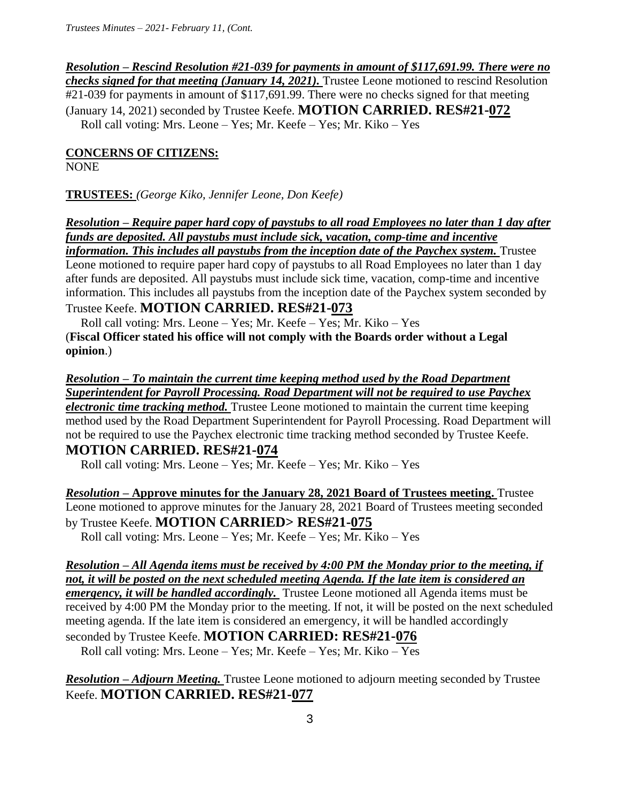*Resolution – Rescind Resolution #21-039 for payments in amount of \$117,691.99. There were no checks signed for that meeting (January 14, 2021).* Trustee Leone motioned to rescind Resolution #21-039 for payments in amount of \$117,691.99. There were no checks signed for that meeting (January 14, 2021) seconded by Trustee Keefe. **MOTION CARRIED. RES#21-072** Roll call voting: Mrs. Leone – Yes; Mr. Keefe – Yes; Mr. Kiko – Yes

#### **CONCERNS OF CITIZENS:**

NONE

**TRUSTEES:** *(George Kiko, Jennifer Leone, Don Keefe)*

*Resolution – Require paper hard copy of paystubs to all road Employees no later than 1 day after funds are deposited. All paystubs must include sick, vacation, comp-time and incentive* 

*information. This includes all paystubs from the inception date of the Paychex system.* Trustee Leone motioned to require paper hard copy of paystubs to all Road Employees no later than 1 day after funds are deposited. All paystubs must include sick time, vacation, comp-time and incentive information. This includes all paystubs from the inception date of the Paychex system seconded by Trustee Keefe. **MOTION CARRIED. RES#21-073**

### Roll call voting: Mrs. Leone – Yes; Mr. Keefe – Yes; Mr. Kiko – Yes (**Fiscal Officer stated his office will not comply with the Boards order without a Legal opinion**.)

*Resolution – To maintain the current time keeping method used by the Road Department Superintendent for Payroll Processing. Road Department will not be required to use Paychex electronic time tracking method.* Trustee Leone motioned to maintain the current time keeping method used by the Road Department Superintendent for Payroll Processing. Road Department will not be required to use the Paychex electronic time tracking method seconded by Trustee Keefe. **MOTION CARRIED. RES#21-074** 

Roll call voting: Mrs. Leone – Yes; Mr. Keefe – Yes; Mr. Kiko – Yes

*Resolution –* **Approve minutes for the January 28, 2021 Board of Trustees meeting.** Trustee Leone motioned to approve minutes for the January 28, 2021 Board of Trustees meeting seconded by Trustee Keefe. **MOTION CARRIED> RES#21-075** 

Roll call voting: Mrs. Leone – Yes; Mr. Keefe – Yes; Mr. Kiko – Yes

*Resolution – All Agenda items must be received by 4:00 PM the Monday prior to the meeting, if not, it will be posted on the next scheduled meeting Agenda. If the late item is considered an emergency, it will be handled accordingly.* Trustee Leone motioned all Agenda items must be received by 4:00 PM the Monday prior to the meeting. If not, it will be posted on the next scheduled meeting agenda. If the late item is considered an emergency, it will be handled accordingly seconded by Trustee Keefe. **MOTION CARRIED: RES#21-076**

Roll call voting: Mrs. Leone – Yes; Mr. Keefe – Yes; Mr. Kiko – Yes

*Resolution – Adjourn Meeting.* Trustee Leone motioned to adjourn meeting seconded by Trustee Keefe. **MOTION CARRIED. RES#21-077**